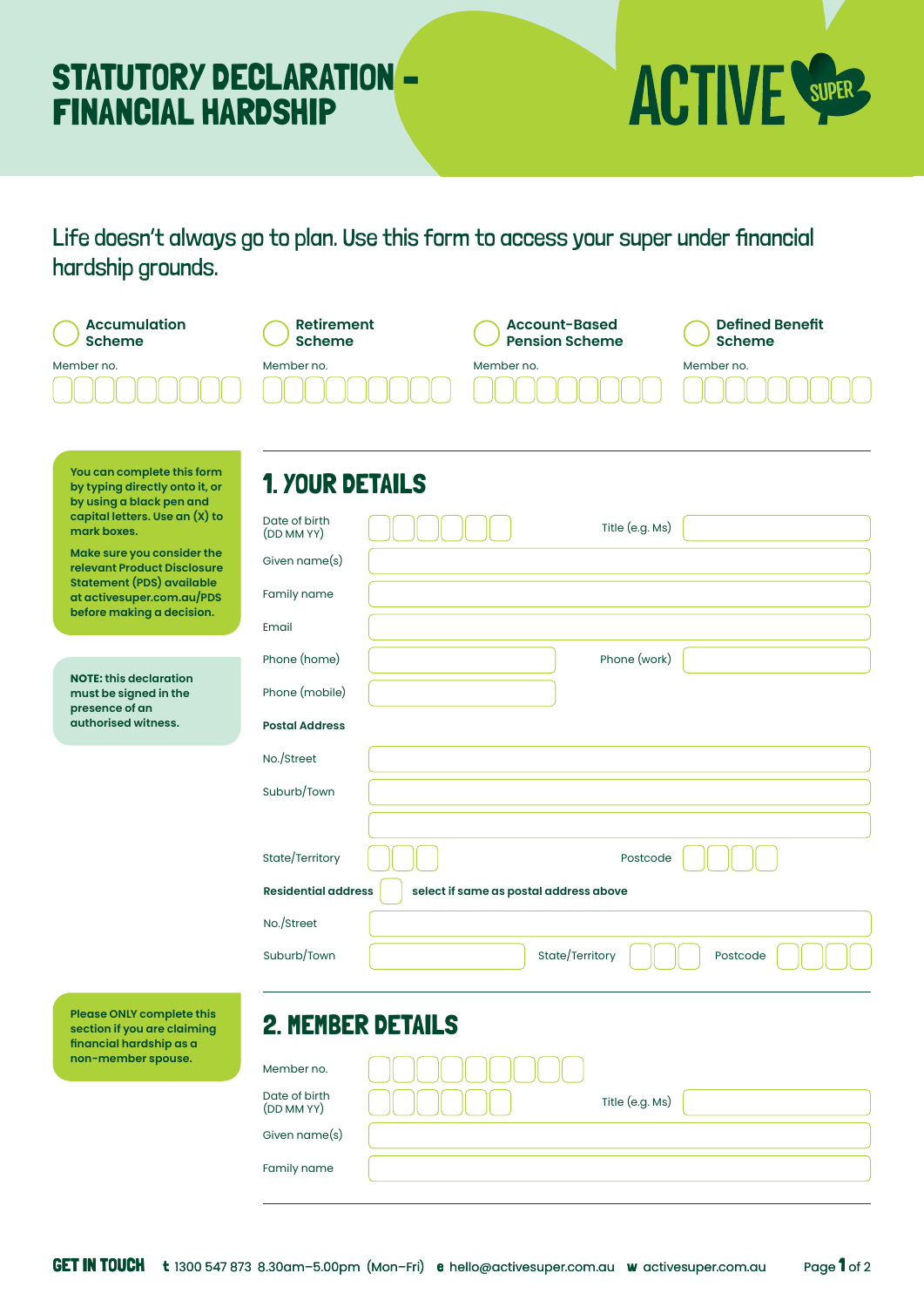## STATUTORY DECLARATION – FINANCIAL HARDSHIP



Life doesn't always go to plan. Use this form to access your super under financial hardship grounds.

| <b>Accumulation</b><br><b>Scheme</b>                                                                                                                                                                                                                                                                 | <b>Retirement</b><br><b>Scheme</b>                                                                             |                                        | <b>Account-Based</b><br><b>Pension Scheme</b> | <b>Defined Benefit</b><br><b>Scheme</b> |
|------------------------------------------------------------------------------------------------------------------------------------------------------------------------------------------------------------------------------------------------------------------------------------------------------|----------------------------------------------------------------------------------------------------------------|----------------------------------------|-----------------------------------------------|-----------------------------------------|
| Member no.                                                                                                                                                                                                                                                                                           | Member no.                                                                                                     | Member no.                             |                                               | Member no.                              |
| You can complete this form<br>by typing directly onto it, or<br>by using a black pen and<br>capital letters. Use an (X) to<br>mark boxes.<br>Make sure you consider the<br>relevant Product Disclosure<br><b>Statement (PDS) available</b><br>at activesuper.com.au/PDS<br>before making a decision. | <b>1. YOUR DETAILS</b><br>Date of birth<br>(DD MM YY)<br>Given name(s)<br>Family name<br>Email<br>Phone (home) |                                        | Title (e.g. Ms)<br>Phone (work)               |                                         |
| <b>NOTE: this declaration</b><br>must be signed in the<br>presence of an<br>authorised witness.                                                                                                                                                                                                      | Phone (mobile)<br><b>Postal Address</b>                                                                        |                                        |                                               |                                         |
|                                                                                                                                                                                                                                                                                                      | No./Street<br>Suburb/Town                                                                                      |                                        |                                               |                                         |
|                                                                                                                                                                                                                                                                                                      | State/Territory<br><b>Residential address</b>                                                                  | select if same as postal address above | Postcode                                      |                                         |
|                                                                                                                                                                                                                                                                                                      | No./Street<br>Suburb/Town                                                                                      |                                        | State/Territory                               | Postcode                                |
| Please ONLY complete this<br>section if you are claiming<br>financial hardship as a<br>non-member spouse.                                                                                                                                                                                            | <b>2. MEMBER DETAILS</b><br>Member no.<br>Date of birth<br>(DD MM YY)<br>Given name(s)                         |                                        | Title (e.g. Ms)                               |                                         |
|                                                                                                                                                                                                                                                                                                      | Family name                                                                                                    |                                        |                                               |                                         |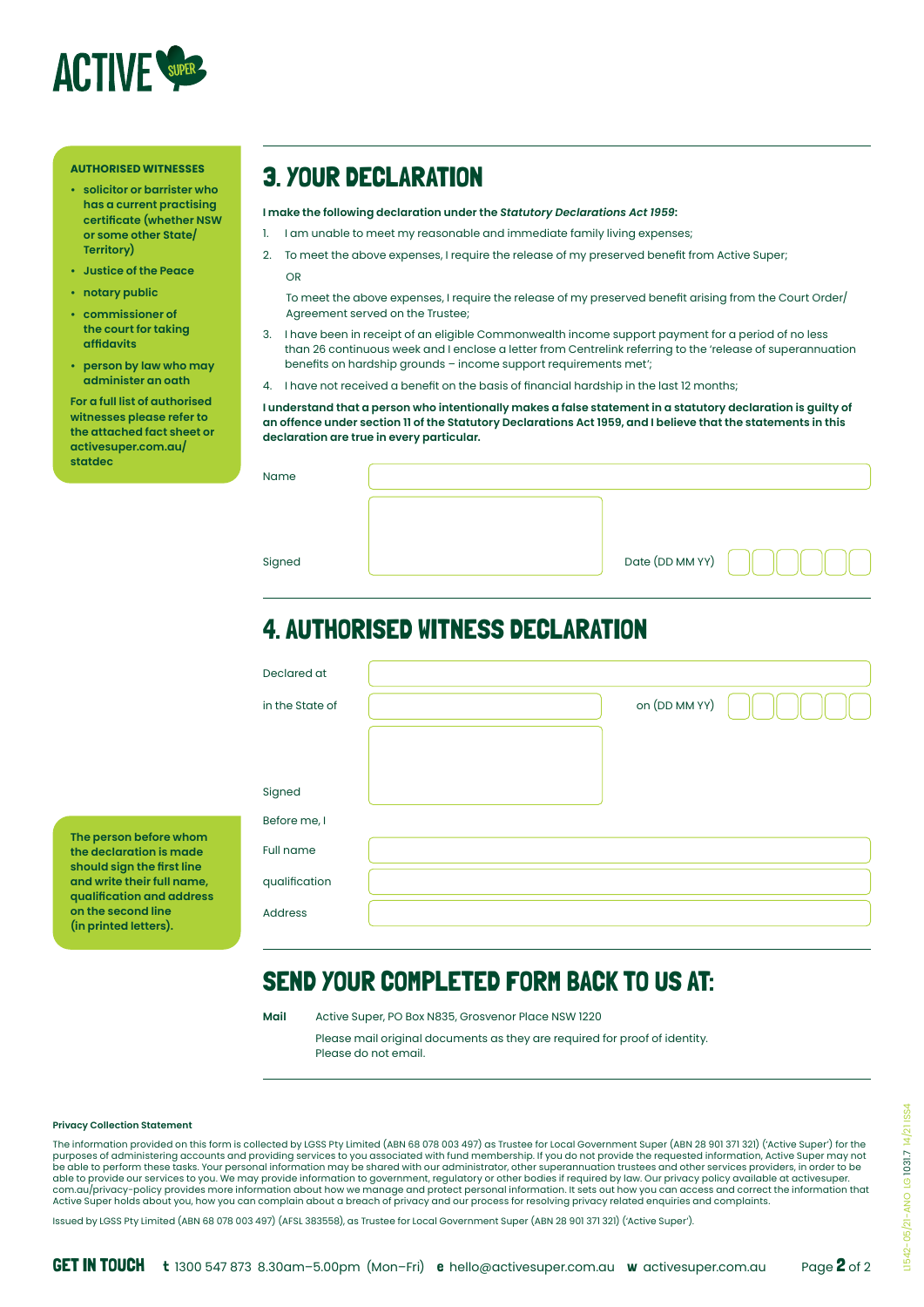

#### **AUTHORISED WITNESSES**

- **• solicitor or barrister who has a current practising certificate (whether NSW or some other State/ Territory)**
- **• Justice of the Peace**
- **• notary public**
- **• commissioner of the court for taking affidavits**
- **• person by law who may administer an oath**

**For a full list of authorised witnesses please refer to the attached fact sheet or activesuper.com.au/ statdec**

### 3. YOUR DECLARATION

**I make the following declaration under the** *Statutory Declarations Act 1959***:**

- 1. I am unable to meet my reasonable and immediate family living expenses;
- 2. To meet the above expenses, I require the release of my preserved benefit from Active Super; OR

To meet the above expenses, I require the release of my preserved benefit arising from the Court Order/ Agreement served on the Trustee;

- 3. I have been in receipt of an eligible Commonwealth income support payment for a period of no less than 26 continuous week and I enclose a letter from Centrelink referring to the 'release of superannuation benefits on hardship grounds – income support requirements met';
- 4. I have not received a benefit on the basis of financial hardship in the last 12 months;

**I understand that a person who intentionally makes a false statement in a statutory declaration is guilty of an offence under section 11 of the Statutory Declarations Act 1959, and I believe that the statements in this declaration are true in every particular.**

|  | Name |  |
|--|------|--|

Signed

| Date (DD MM YY) |  |
|-----------------|--|

### 4. AUTHORISED WITNESS DECLARATION

|  | Declared at     |               |
|--|-----------------|---------------|
|  | in the State of | on (DD MM YY) |
|  |                 |               |
|  |                 |               |
|  | Signed          |               |
|  | Before me, I    |               |
|  | Full name       |               |
|  | qualification   |               |
|  | Address         |               |
|  |                 |               |

#### SEND YOUR COMPLETED FORM BACK TO US AT:

**Mail** Active Super, PO Box N835, Grosvenor Place NSW 1220

Please mail original documents as they are required for proof of identity. Please do not email.

#### **Privacy Collection Statement**

**The person before whom the declaration is made should sign the first line and write their full name, qualification and address on the second line (in printed letters).**

The information provided on this form is collected by LGSS Pty Limited (ABN 68 078 003 497) as Trustee for Local Government Super (ABN 28 901 371 321) ('Active Super') for the purposes of administering accounts and providing services to you associated with fund membership. If you do not provide the requested information, Active Super may not<br>be able to perform these tasks. Your personal informat able to provide our services to you. We may provide information to government, regulatory or other bodies if required by law. Our privacy policy available at activesuper.<br>com.au/privacy-policy provides more information abo Active Super holds about you, how you can complain about a breach of privacy and our process for resolving privacy related enquiries and complaints.

Issued by LGSS Pty Limited (ABN 68 078 003 497) (AFSL 383558), as Trustee for Local Government Super (ABN 28 901 371 321) ('Active Super').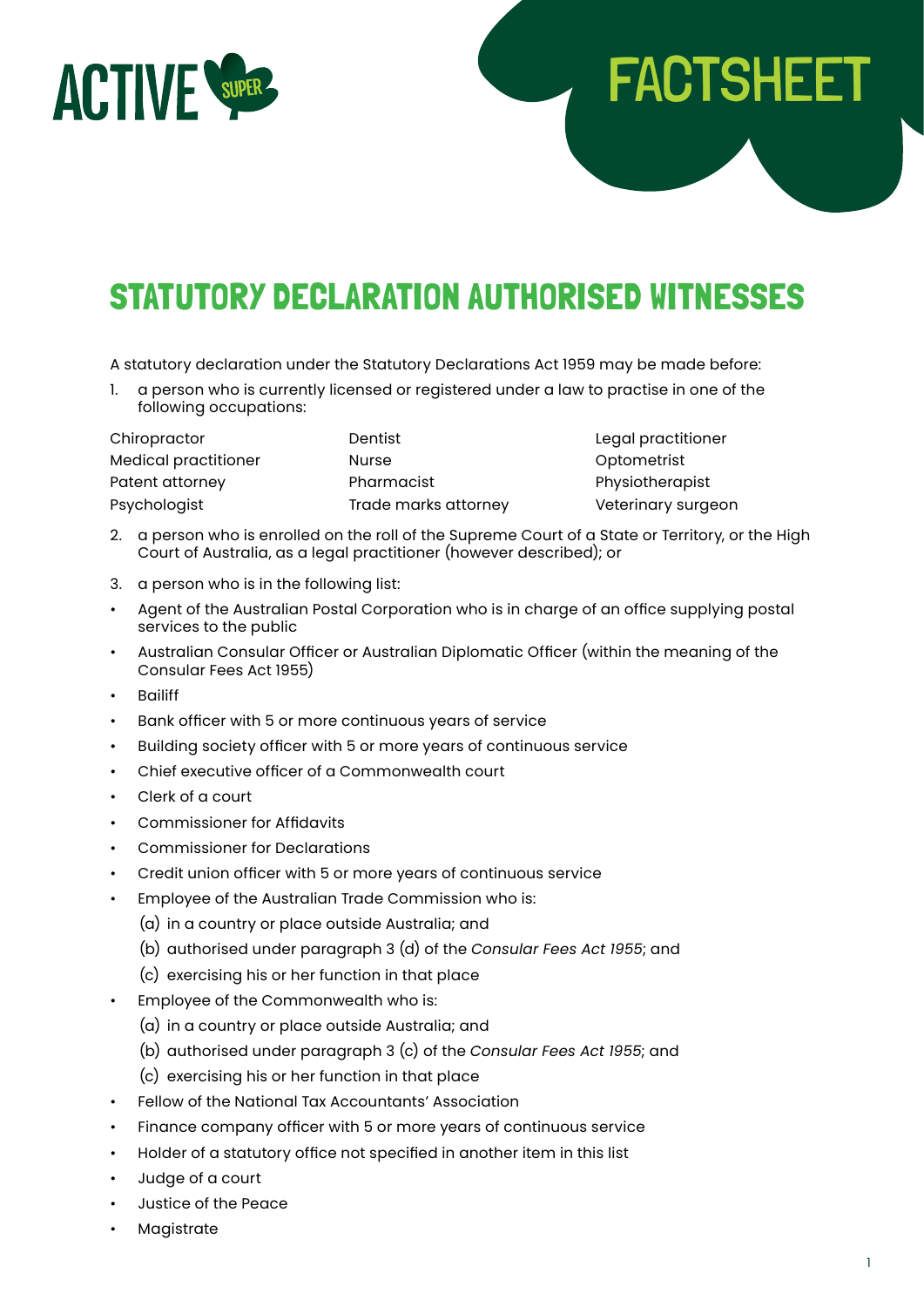

# STATUTORY DECLARATION AUTHORISED WITNESSES

A statutory declaration under the Statutory Declarations Act 1959 may be made before:

1. a person who is currently licensed or registered under a law to practise in one of the following occupations:

Chiropractor Dentist Legal practitioner Medical practitioner Nurse Optometrist Patent attorney **Pharmacist** Pharmacist Physiotherapist Psychologist Trade marks attorney Veterinary surgeon

FACTSHEET

- 2. a person who is enrolled on the roll of the Supreme Court of a State or Territory, or the High Court of Australia, as a legal practitioner (however described); or
- 3. a person who is in the following list:
- Agent of the Australian Postal Corporation who is in charge of an office supplying postal services to the public
- Australian Consular Officer or Australian Diplomatic Officer (within the meaning of the Consular Fees Act 1955)
- **Bailiff**
- Bank officer with 5 or more continuous years of service
- Building society officer with 5 or more years of continuous service
- Chief executive officer of a Commonwealth court
- Clerk of a court
- Commissioner for Affidavits
- Commissioner for Declarations
- Credit union officer with 5 or more years of continuous service
- Employee of the Australian Trade Commission who is:
	- (a) in a country or place outside Australia; and
	- (b) authorised under paragraph 3 (d) of the *Consular Fees Act 1955*; and
	- (c) exercising his or her function in that place
- Employee of the Commonwealth who is:
	- (a) in a country or place outside Australia; and
	- (b) authorised under paragraph 3 (c) of the *Consular Fees Act 1955*; and
	- (c) exercising his or her function in that place
- Fellow of the National Tax Accountants' Association
- Finance company officer with 5 or more years of continuous service
- Holder of a statutory office not specified in another item in this list
- Judge of a court
- Justice of the Peace
- **Magistrate**